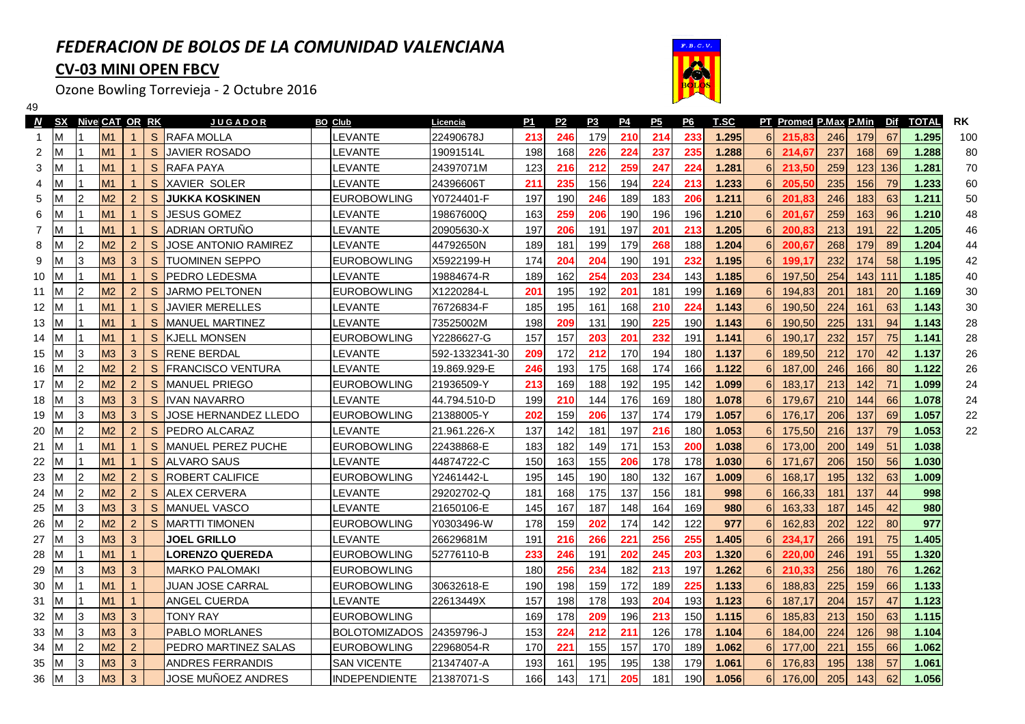## *FEDERACION DE BOLOS DE LA COMUNIDAD VALENCIANA***CV-03 MINI OPEN FBCV**



Ozone Bowling Torrevieja - 2 Octubre 2016

49

| <sub>S</sub><br>M <sub>1</sub><br><b>RAFA MOLLA</b><br>22490678J<br>246<br>179<br>210<br>214<br>233<br>1.295<br>6 <sup>1</sup><br>M<br>EVANTE.<br>213<br>215,83<br>198<br>226<br>224<br>237<br>235<br>1.288<br>6 <sup>1</sup><br>M1<br>S<br><b>JAVIER ROSADO</b><br><b>EVANTE</b><br>19091514L<br>168<br>214,67<br>2<br>М | 246<br>67<br>179<br>237<br>168<br>69 | 1.295<br>100<br>80 |
|---------------------------------------------------------------------------------------------------------------------------------------------------------------------------------------------------------------------------------------------------------------------------------------------------------------------------|--------------------------------------|--------------------|
|                                                                                                                                                                                                                                                                                                                           |                                      |                    |
|                                                                                                                                                                                                                                                                                                                           |                                      | 1.288              |
| 259<br>1.281<br>6 <sup>1</sup><br>M1<br>S.<br><b>RAFA PAYA</b><br><b>EVANTE</b><br>24397071M<br>123<br>216<br>212<br>247<br>224<br>213,50<br>3<br>M                                                                                                                                                                       | 259<br>123 136                       | 1.281<br>70        |
| 1.233<br>M1<br>S.<br><b>XAVIER SOLER</b><br>24396606T<br>235<br>156<br>194<br>224<br>213<br>6 <sup>1</sup><br>205,50<br>_EVANTE<br>211<br>-1                                                                                                                                                                              | 235<br>156<br>79                     | 1.233<br>60        |
| 2<br>183<br>1.211<br>M <sub>2</sub><br>$\overline{2}$<br>197<br>190<br>246<br>189<br>206<br>6 <sup>1</sup><br>S<br><b>JUKKA KOSKINEN</b><br><b>EUROBOWLING</b><br>Y0724401-F<br>201,83                                                                                                                                    | 246<br>183<br>63                     | 1.211<br>50        |
| M1<br><sub>S</sub><br>JESUS GOMEZ<br>163<br>259<br>206<br>196<br>1.210<br>6 <sup>1</sup><br><b>EVANTE</b><br>19867600Q<br>190<br>196<br>201,67<br>6<br>$\mathbf{1}$                                                                                                                                                       | 259<br>163<br>96                     | 1.210<br>48        |
| M1<br>197<br>197<br>201<br>213<br>1.205<br>6 <sup>1</sup><br>S.<br><b>ADRIAN ORTUNO</b><br>LEVANTE<br>20905630-X<br>206<br>191<br>200.83<br>$\mathbf{1}$                                                                                                                                                                  | 213<br>22<br>191                     | 1.205<br>46        |
| M <sub>2</sub><br>1.204<br>$\overline{2}$<br>$\overline{2}$<br>S<br>JOSE ANTONIO RAMIREZ<br>44792650N<br>189<br>199<br>179<br>268<br>6 <sup>1</sup><br>EVANTE.<br>181<br>188<br>200,67                                                                                                                                    | 268<br>89<br>179                     | 1.204<br>44        |
| M <sub>3</sub><br>3<br>3<br>S.<br>204<br>204<br>190<br>191<br>232<br>1.195<br>6 <sup>1</sup><br><b>TUOMINEN SEPPO</b><br><b>EUROBOWLING</b><br>X5922199-H<br>174<br>199,17                                                                                                                                                | 58<br>232<br>174                     | 42<br>1.195        |
| M <sub>1</sub><br><sub>S</sub><br><b>PEDRO LEDESMA</b><br>254<br>203<br>1.185<br><b>EVANTE</b><br>19884674-R<br>189<br>162<br>234<br>143<br>$6 \overline{6}$<br>197,50<br>10<br>M<br>$\mathbf{1}$                                                                                                                         | 254<br>143 111                       | 1.185<br>40        |
| M <sub>2</sub><br>2<br>201<br>1.169<br>2<br>S.<br><b>JARMO PELTONEN</b><br><b>EUROBOWLING</b><br>192<br>181<br>199<br>$6 \overline{6}$<br>194,83<br>X1220284-L<br>201<br>195<br>M<br>11                                                                                                                                   | 201<br>20<br>181                     | 30<br>1.169        |
| M1<br><b>JAVIER MERELLES</b><br><b>EVANTE</b><br>161<br>168<br>210<br>224<br>1.143<br>190,50<br><sub>S</sub><br>76726834-F<br>185<br>195<br>$6 \overline{6}$<br>12<br>M<br>$\mathbf{1}$                                                                                                                                   | 224<br>63<br>161                     | 30<br>1.143        |
| M <sub>1</sub><br>1.143<br>S.<br>IMANUEL MARTINEZ<br>EVANTE-<br>73525002M<br>198<br>209<br>131<br>190<br>225<br>190<br>6<br>190,50<br>13<br>M<br>1                                                                                                                                                                        | 225<br>94<br>131                     | 28<br>1.143        |
| M <sub>1</sub><br>201<br>1.141<br>S<br><b>KJELL MONSEN</b><br><b>EUROBOWLING</b><br>Y2286627-G<br>157<br>157<br>203<br>232<br>191<br>190,17<br>6<br>M<br>$\mathbf{1}$<br>14                                                                                                                                               | 232<br>75<br>157                     | 28<br>1.141        |
| M <sub>3</sub><br>3<br>S<br><b>RENE BERDAL</b><br>212<br>170<br>194<br>180<br>1.137<br>189,50<br>3<br>EVANTE-<br>592-1332341-30<br>209<br>172<br>6<br>15<br>M                                                                                                                                                             | 212<br>42<br>170                     | 1.137<br>26        |
| M <sub>2</sub><br>$\overline{2}$<br>S<br>175<br>174<br>1.122<br>$\overline{2}$<br><b>FRANCISCO VENTURA</b><br>EVANTE-<br>19.869.929-E<br>246<br>193<br>168<br>166<br>$6 \overline{6}$<br>187,00<br>16<br>M                                                                                                                | 246<br>80<br>166                     | 26<br>1.122        |
| M <sub>2</sub><br>195<br>1.099<br>$\overline{2}$<br>2<br><sub>S</sub><br>IMANUEL PRIEGO<br><b>EUROBOWLING</b><br>21936509-Y<br>213<br>169<br>188<br>192<br>142<br>6<br>183,17<br>17<br>M                                                                                                                                  | 213<br>142<br>71                     | 24<br>1.099        |
| M <sub>3</sub><br>1.078<br>3<br>3<br>S<br><b>IVAN NAVARRO</b><br>199<br>210<br>144<br>176<br>169<br>180<br>179,67<br>EVANTE-<br>44.794.510-D<br>6<br>18<br>M                                                                                                                                                              | 210<br>66<br>144                     | 1.078<br>24        |
| M <sub>3</sub><br>1.057<br>3<br>3<br>S<br>JOSE HERNANDEZ LLEDO<br><b>EUROBOWLING</b><br>159<br>206<br>137<br>174<br>176,17<br>21388005-Y<br>202<br>179<br>$6 \overline{6}$<br>19<br>M                                                                                                                                     | 206<br>137<br>69                     | 1.057<br>22        |
| M <sub>2</sub><br>$\overline{2}$<br>S<br>137<br>197<br>1.053<br>175,50<br>$\overline{2}$<br>PEDRO ALCARAZ<br>EVANTE-<br>21.961.226-X<br>142<br>181<br>216<br>180<br>6<br>20<br>М                                                                                                                                          | 216<br>137                           | 22<br>79<br>1.053  |
| M1<br>171<br>153<br>200<br>1.038<br>S<br>MANUEL PEREZ PUCHE<br><b>EUROBOWLING</b><br>22438868-E<br>183<br>182<br>149<br>$6 \overline{6}$<br>173,00<br>21<br>м<br>1                                                                                                                                                        | 200<br>149<br>51                     | 1.038              |
| M <sub>1</sub><br>155<br>206<br>178<br>1.030<br>$6 \overline{6}$<br>S<br><b>ALVARO SAUS</b><br><b>EVANTE</b><br>44874722-C<br>150<br>163<br>178<br>171,67<br>22                                                                                                                                                           | 56<br>206<br>150                     | 1.030              |
| M <sub>2</sub><br>$\overline{2}$<br>S<br>195<br>132<br>1.009<br>$6 \overline{6}$<br>$\overline{2}$<br>ROBERT CALIFICE<br><b>EUROBOWLING</b><br>145<br>190<br>180<br>167<br>168,17<br>Y2461442-L<br>23                                                                                                                     | 195<br>132<br>63                     | 1.009              |
| M <sub>2</sub><br>175<br>156<br>$\overline{2}$<br>$\overline{2}$<br>S<br>168<br>137<br>181<br>998<br>6<br>166,33<br><b>ALEX CERVERA</b><br>EVANTE.<br>29202702-Q<br>181<br>24                                                                                                                                             | 181<br>137<br>44                     | 998                |
| M <sub>3</sub><br>3<br>S<br>145<br>167<br>187<br>164<br>980<br>$6 \overline{6}$<br>163,33<br>3<br><b>MANUEL VASCO</b><br><b>EVANTE</b><br>21650106-E<br>148<br>169<br>25                                                                                                                                                  | 187<br>145<br>42                     | 980                |
| M <sub>2</sub><br>2<br>$\overline{2}$<br>S<br>142<br>122<br>977<br><b>MARTTI TIMONEN</b><br>178<br>159<br>202<br>174<br>$6 \overline{6}$<br>162,83<br>26<br><b>EUROBOWLING</b><br>Y0303496-W                                                                                                                              | 202<br>80<br>122                     | 977                |
| M <sub>3</sub><br>3<br>22 <sup>2</sup><br>255<br>1.405<br>3<br>216<br>266<br>256<br>6<br>JOEL GRILLO<br>EVANTE.<br>26629681M<br>191<br>234,17<br>27                                                                                                                                                                       | 266<br>75<br>191                     | 1.405              |
| M1<br>202<br>245<br>203<br>1.320<br>6 <sup>1</sup><br>LORENZO QUEREDA<br><b>EUROBOWLING</b><br>52776110-B<br>246<br>191<br>28<br>$\mathbf 1$<br>233<br>220,00                                                                                                                                                             | 246<br>55<br>191                     | 1.320              |
| M <sub>3</sub><br>3<br>256<br>1.262<br>3<br><b>MARKO PALOMAKI</b><br><b>EUROBOWLING</b><br>234<br>182<br>213<br>197<br>6 <sup>1</sup><br>29<br>180<br>210,33                                                                                                                                                              | 256<br>76<br>180                     | 1.262              |
| M1<br>1.133<br><b>EUROBOWLING</b><br>159<br>172<br>189<br>225<br>$6 \overline{6}$<br>30<br>JUAN JOSE CARRAL<br>30632618-E<br>190<br>198<br>188,83<br>$\mathbf 1$                                                                                                                                                          | 225<br>159<br>66                     | 1.133              |
| M1<br>178<br>193<br>193<br>1.123<br>6<br>$\mathbf{1}$<br>ANGEL CUERDA<br>EVANTE.<br>22613449X<br>157<br>198<br>204<br>187,17<br>31                                                                                                                                                                                        | 204<br>47<br>157                     | 1.123              |
| M <sub>3</sub><br>3<br>1.115<br>3<br>TONY RAY<br><b>EUROBOWLING</b><br>169<br>178<br>209<br>196<br>213<br>150<br>$6 \overline{6}$<br>185,83<br>32                                                                                                                                                                         | 213<br>63<br>150                     | 1.115              |
| M <sub>3</sub><br>3<br>153<br>212<br>211<br>126<br>178<br>1.104<br>$6 \overline{6}$<br>33<br>3<br><b>PABLO MORLANES</b><br><b>BOLOTOMIZADOS</b><br>24359796-J<br>224<br>184,00                                                                                                                                            | 98<br>224<br>126                     | 1.104              |
| M <sub>2</sub><br>$\overline{2}$<br>$\overline{2}$<br>PEDRO MARTINEZ SALAS<br>157<br>170<br>1.062<br><b>EUROBOWLING</b><br>22968054-R<br>170<br>221<br>155<br>189<br>$6 \overline{6}$<br>177,00<br>34                                                                                                                     | 221<br>155                           | 66<br>1.062        |
| $\mathbf{3}$<br>M <sub>3</sub><br>35<br>3<br>ANDRES FERRANDIS<br><b>SAN VICENTE</b><br>21347407-A<br>193<br>161<br>195<br>195<br>138<br>179<br>1.061<br>6<br>176,83                                                                                                                                                       | 57<br>195<br>138                     | 1.061              |
| M <sub>3</sub><br>3<br>JOSE MUÑOEZ ANDRES<br>166<br>205<br>3<br><b>INDEPENDIENTE</b><br>143<br>171<br>181<br>190<br>1.056<br>6<br>176,00<br>36<br>21387071-S                                                                                                                                                              | 62<br>205<br>143                     | 1.056              |